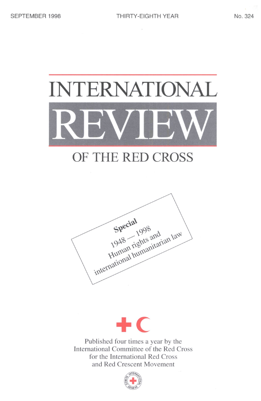

## OF THE RED CROSS





Published four times a year by the International Committee of the Red Cross for the International Red Cross and Red Crescent Movement

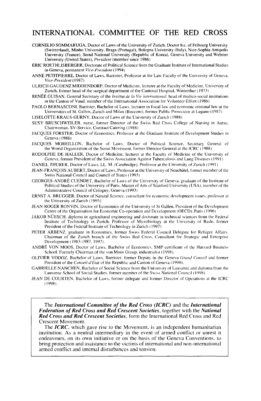### INTERNATIONAL COMMITTEE OF THE RED CROSS

- CORNELIO SOMMARUGA, Doctor of Laws of the University of Zurich, Doctor he. of Fribourg University (Switzerland), Minho University, Braga (Portugal), Bologna University (Italy), Nice-Sophia Antipolis University (France), Seoul National University (Republic of Korea), Geneva University and Webster University (United States), *President* (member since 1986)
- ERIC ROETHLISBERGER, Doctorate of Political Science from the Graduate Institute of International Studies in Geneva, permanent *Viee-President* (1994)
- ANNE PETITPIERRE, Doctor of Laws, Barrister, Professor at the Law Faculty of the University of Geneva, *Vice-President* (1987)
- ULRICH GAUDENZ MIDDENDORP, Doctor of Medicine, lecturer at the Faculty of Medicine. University of Zurich, former head of the surgical department of the Cantonal Hospital, Winterthur (1973)
- RENEE GUISAN, General Secretary of the *Institut de la Vie international,* head of medico-social institutions in the Canton of Vaud, member of the International Association for Volunteer Effort (1986)
- PAOLO BERNASCONI, Barrister, Bachelor of Laws, lecturer in fiscal law and economic criminal law at the Universities of St. Gallen, Zurich and Milan (Bocconi), former Public Prosecutor at Lugano (1987)

LISELOTTE KRAUS-GURNY, Doctor of Laws of the University of Zurich (1988)

- SUSY BRUSCHWEILER. nurse, former Director of the Swiss Red Cross College of Nursing in Aarau. Chairwoman, SV-Service, Contract Catering (1988)
- JACQUES FORSTER, Doctor of Economics. Professor at the Graduate Institute of Development Studies in Geneva (1988)
- JACQUES MOREILLON, Bachelor of Laws. Doctor of Political Science. Secretary General of the World Organization of the Scout Movement, former Director General at the ICRC (1988)
- RODOLPHE DE HALLER. Doctor of Medicine, lecturer at the Faculty of Medicine of the University of Geneva, former President of the Swiss Association Against Tuberculosis and Lung Diseases (1991)
- DANIEL THURER, Doctor of Laws. LL. M. (Cambridge). Professor at the University of Zurich (1991)
- JEAN-FRANCOIS AUBERT, Doctor of Laws, Professor at the University of Neuchatel. former member of the Swiss National Council and Council of States (1993)
- GEORGES-ANDRE CUENDET, Bachelor of Laws of the University of Geneva, graduate of the Institute of Political Studies of the University of Paris, Master of Arts of Stanford University (USA), member of the Administrative Council of Cologny. Geneva (1993)
- ERNST A. BRUGGER. Doctor of Natural Science, consultant for economic development issues, professor at the University of Zurich (1995)
- JEAN-ROGER BONVIN, Doctor of Economics of the University of St Gallen. President of the Development Centre of the Organisation for Economic Co-operation and Development (OECD). Paris (1996)
- JAKOB NUESCH. diploma in agricultural engineering and doctorate in technical sciences from the Federal Institute of Technology in Zurich, Professor of Microbiology at the University of Basle, former President of the Federal Institute of Technology in Zurich (1997)
- PETER ARBENZ, graduate in Economics, former Swiss Federal Council Delegate for Refugee Affairs. Chairman of the Zurich branch of the Swiss Red Cross, Consultant for Strategic and Enterprise Development (1983-1987, 1997).
- ANDRE VON MOOS, Doctor of Laws, Bachelor of Economics, SMP certificate of the Harvard Business School. Formely Chairman of the von Moos Group, industrialist (1998).
- OLIVIER VODOZ, Bachelor of Laws. Barrister, former Deputy in the Geneva *Grand Cnnseil* and former President of the *Conseil d'Etat* of the Republic and Canton of Geneva (1998).
- GABRIELLE NANCHEN, Bachelor of Social Science from the University *oi'* Lausanne and diploma from the Lausanne School of Social Studies, former member of the Swiss National Council (1998).
- JEAN DE COURTEN, Bachelor of Laws, former delegate and former Director of Operations at the ICRC (1998).

The *International Committee of the Red Cross (ICRC)* and the *International Federation of Red Cross and Red Crescent Societies,* together with the *National Red Cross and Red Crescent Societies,* form the International Red Cross and Red

The *ICRC*, which gave rise to the Movement, is an independent humanitarian institution. As a neutral intermediary in the event of armed conflict or unrest it endeavours, on its own initiative or on the basis of the Geneva Conventions, to bring protection and assistance to the victims of international and non-international armed conflict and internal disturbances and tension.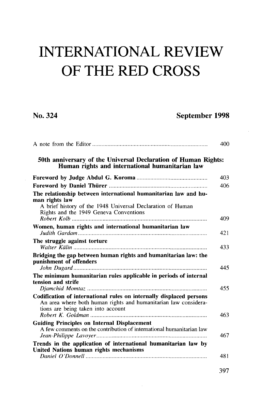# INTERNATIONAL REVIEW OF THE RED CROSS

No. 324 September 1998

|                                                                                                                                                                              | 400 |
|------------------------------------------------------------------------------------------------------------------------------------------------------------------------------|-----|
| 50th anniversary of the Universal Declaration of Human Rights:<br>Human rights and international humanitarian law                                                            |     |
|                                                                                                                                                                              | 403 |
|                                                                                                                                                                              | 406 |
| The relationship between international humanitarian law and hu-<br>man rights law                                                                                            |     |
| A brief history of the 1948 Universal Declaration of Human<br>Rights and the 1949 Geneva Conventions                                                                         | 409 |
| Women, human rights and international humanitarian law                                                                                                                       | 421 |
| The struggle against torture                                                                                                                                                 | 433 |
| Bridging the gap between human rights and humanitarian law: the<br>punishment of offenders                                                                                   | 445 |
| The minimum humanitarian rules applicable in periods of internal<br>tension and strife                                                                                       | 455 |
| Codification of international rules on internally displaced persons<br>An area where both human rights and humanitarian law considera-<br>tions are being taken into account | 463 |
| <b>Guiding Principles on Internal Displacement</b><br>A few comments on the contribution of international humanitarian law                                                   | 467 |
| Trends in the application of international humanitarian law by<br>United Nations human rights mechanisms                                                                     | 481 |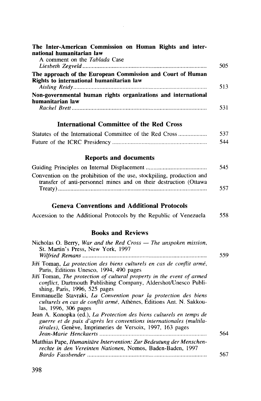| The Inter-American Commission on Human Rights and inter-<br>national humanitarian law                                                      |     |
|--------------------------------------------------------------------------------------------------------------------------------------------|-----|
| A comment on the Tablada Case                                                                                                              | 505 |
| The approach of the European Commission and Court of Human<br>Rights to international humanitarian law                                     | 513 |
| Non-governmental human rights organizations and international<br>humanitarian law                                                          | 531 |
|                                                                                                                                            |     |
| International Committee of the Red Cross                                                                                                   |     |
| Statutes of the International Committee of the Red Cross                                                                                   | 537 |
|                                                                                                                                            | 544 |
| <b>Reports and documents</b>                                                                                                               |     |
|                                                                                                                                            | 545 |
| Convention on the prohibition of the use, stockpiling, production and<br>transfer of anti-personnel mines and on their destruction (Ottawa |     |
|                                                                                                                                            | 557 |
| <b>Geneva Conventions and Additional Protocols</b>                                                                                         |     |
| Accession to the Additional Protocols by the Republic of Venezuela                                                                         | 558 |
| <b>Books and Reviews</b>                                                                                                                   |     |
| Nicholas O. Berry, War and the Red Cross - The unspoken mission,<br>St. Martin's Press, New York, 1997                                     | 559 |
| Jiří Toman, La protection des biens culturels en cas de conflit armé,<br>Paris, Éditions Unesco, 1994, 490 pages                           |     |
| Jiří Toman, The protection of cultural property in the event of armed<br>conflict, Dartmouth Publishing Company, Aldershot/Unesco Publi-   |     |

shing, Paris, 1996, 525 pages

Emmanuelle Stavraki, *La Convention pour la protection des biens culturels en cas de conflit arme,* Athenes, Editions Ant. N. Sakkou- las, 1996, 306 pages

Jean A. Konopka (ed.), *La Protection des biens culturels en temps de guerre et de paix d'apres les conventions internationales (multilatérales*), Genève, Imprimeries de Versoix, 1997, 163 pages *Jean-Marie Henckaerts* 564 Matthias Pape, *Humanitare Intervention: Zur Bedeutung der Menschenrechte in den Vereinten Nationen,* Nomos, Baden-Baden, 1997

398

*Bardo Fassbender* 567